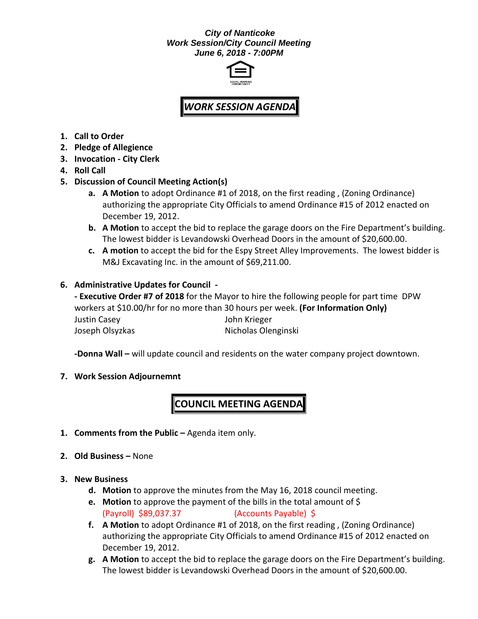#### *City of Nanticoke Work Session/City Council Meeting June 6, 2018 - 7:00PM*



# *WORK SESSION AGENDA*

- **1. Call to Order**
- **2. Pledge of Allegience**
- **3. Invocation - City Clerk**
- **4. Roll Call**
- **5. Discussion of Council Meeting Action(s)**
	- **a. A Motion** to adopt Ordinance #1 of 2018, on the first reading , (Zoning Ordinance) authorizing the appropriate City Officials to amend Ordinance #15 of 2012 enacted on December 19, 2012.
	- **b. A Motion** to accept the bid to replace the garage doors on the Fire Department's building. The lowest bidder is Levandowski Overhead Doors in the amount of \$20,600.00.
	- **c. A motion** to accept the bid for the Espy Street Alley Improvements. The lowest bidder is M&J Excavating Inc. in the amount of \$69,211.00.

### **6. Administrative Updates for Council -**

**- Executive Order #7 of 2018** for the Mayor to hire the following people for part time DPW workers at \$10.00/hr for no more than 30 hours per week. **(For Information Only)** Justin Casey John Krieger Joseph Olsyzkas Nicholas Olenginski

**-Donna Wall –** will update council and residents on the water company project downtown.

#### **7. Work Session Adjournemnt**

## **COUNCIL MEETING AGENDA**

- **1. Comments from the Public –** Agenda item only.
- **2. Old Business –** None

#### **3. New Business**

- **d. Motion** to approve the minutes from the May 16, 2018 council meeting.
- **e. Motion** to approve the payment of the bills in the total amount of \$ (Payroll) \$89,037.37 (Accounts Payable) \$
- **f. A Motion** to adopt Ordinance #1 of 2018, on the first reading , (Zoning Ordinance) authorizing the appropriate City Officials to amend Ordinance #15 of 2012 enacted on December 19, 2012.
- **g. A Motion** to accept the bid to replace the garage doors on the Fire Department's building. The lowest bidder is Levandowski Overhead Doors in the amount of \$20,600.00.